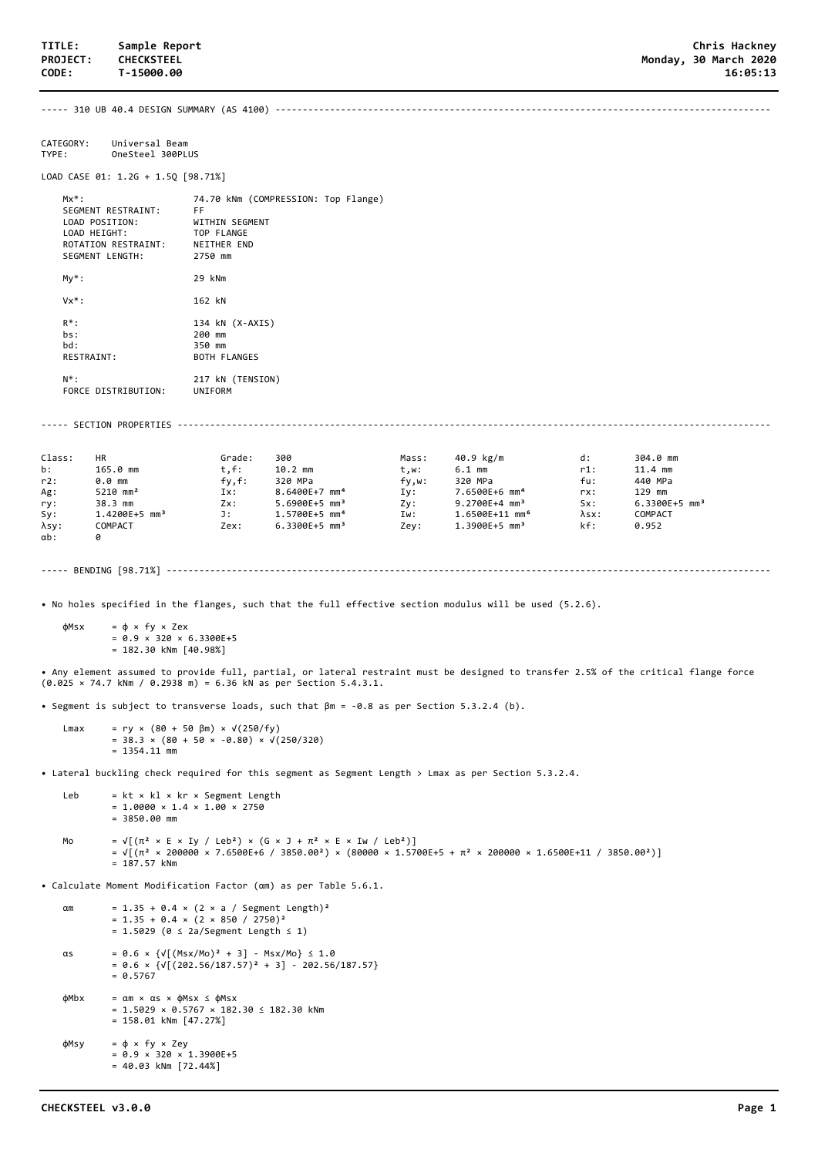----- 310 UB 40.4 DESIGN SUMMARY (AS 4100) -------------------------------------------------------------------------------------------

CATEGORY: Universal Beam<br>TYPE: OneSteel 300PL OneSteel 300PLUS

LOAD CASE 01: 1.2G + 1.5Q [98.71%]

| $Mx^*$ :<br>SEGMENT RESTRAINT:<br>LOAD POSITION:<br>LOAD HEIGHT:<br>ROTATION RESTRAINT:<br>SEGMENT LENGTH: | 74.70 kNm (COMPRESSION: Top Flange)<br>FF<br>WITHIN SEGMENT<br>TOP FLANGE<br>NEITHER END<br>2750 mm |
|------------------------------------------------------------------------------------------------------------|-----------------------------------------------------------------------------------------------------|
| $My*$ :                                                                                                    | 29 kNm                                                                                              |
| $Vx^*$ :                                                                                                   | 162 kN                                                                                              |
| $R^*$ :<br>$hs:$ :<br>hd:<br><b>RESTRAINT:</b>                                                             | 134 kN (X-AXIS)<br>200 mm<br>350 mm<br><b>BOTH FLANGES</b>                                          |
| $N^*$ :                                                                                                    | 217 kN (TENSION)                                                                                    |

FORCE DISTRIBUTION: UNIFORM

----- SECTION PROPERTIES -------------------------------------------------------------------------------------------------------------

| Class:       | HR                          | Grade:  | 300                         | Mass: | 40.9 kg/m                   | d:            | 304.0 mm                    |
|--------------|-----------------------------|---------|-----------------------------|-------|-----------------------------|---------------|-----------------------------|
| b:           | 165.0 mm                    | $t.f$ : | $10.2$ mm                   | t,w:  | $6.1$ mm                    | r1:           | $11.4$ mm                   |
| r2:          | $0.0$ mm                    | fy.f:   | 320 MPa                     | fy,w: | 320 MPa                     | fu:           | 440 MPa                     |
| Ag:          | 5210 mm <sup>2</sup>        | Ix:     | 8.6400E+7 mm <sup>4</sup>   | Iv:   | 7.6500E+6 mm <sup>4</sup>   | rx:           | 129 mm                      |
| ry:          | 38.3 mm                     | $Zx$ :  | $5.6900E+5$ mm <sup>3</sup> | Zv:   | $9.2700E+4$ mm <sup>3</sup> | Sx:           | $6.3300E+5$ mm <sup>3</sup> |
| Sy:          | $1.4200E+5$ mm <sup>3</sup> | J:      | 1.5700E+5 mm <sup>4</sup>   | Iw:   | 1.6500E+11 mm <sup>6</sup>  | $\lambda$ sx: | COMPACT                     |
| λsγ:         | COMPACT                     | Zex:    | $6.3300E+5$ mm <sup>3</sup> | Zey:  | $1.3900E+5$ mm <sup>3</sup> | kf:           | 0.952                       |
| $\alpha b$ : |                             |         |                             |       |                             |               |                             |

----- BENDING [98.71%] ---------------------------------------------------------------------------------------------------------------

• No holes specified in the flanges, such that the full effective section modulus will be used (5.2.6).

 $φ$ Msx =  $φ$  × fy × Zex  $= 0.9 \times 320 \times 6.3300E + 5$ = 182.30 kNm [40.98%]

• Any element assumed to provide full, partial, or lateral restraint must be designed to transfer 2.5% of the critical flange force (0.025 × 74.7 kNm / 0.2938 m) = 6.36 kN as per Section 5.4.3.1.

• Segment is subject to transverse loads, such that βm = -0.8 as per Section 5.3.2.4 (b).

Lmax = ry × (80 + 50 βm) ×  $\sqrt{(250/fy)}$  $= 38.3 \times (80 + 50 \times -0.80) \times \sqrt{(250/320)}$  $= 1354.11$  mm

• Lateral buckling check required for this segment as Segment Length > Lmax as per Section 5.3.2.4.

```
 Leb = kt × kl × kr × Segment Length
= 1.0000 \times 1.4 \times 1.00 \times 2750= 3850.00 mm
```

```
Mo = \sqrt{(\pi^2 \times E \times Iy / Leb^2)} \times (G \times J + \pi^2 \times E \times Iw / Leb^2))= √[(π² × 200000 × 7.6500E+6 / 3850.00²) × (80000 × 1.5700E+5 + π² × 200000 × 1.6500E+11 / 3850.00²)]
              = 187.57 kNm
```
• Calculate Moment Modification Factor (αm) as per Table 5.6.1.

 $\alpha$ m = 1.35 + 0.4 × (2 × a / Segment Length)<sup>2</sup>  $= 1.35 + 0.4 \times (2 \times 850 / 2750)^2$  = 1.5029 (0 ≤ 2a/Segment Length ≤ 1) αs = 0.6 × {√[(Msx/Mo)² + 3] - Msx/Mo} ≤ 1.0  $= 0.6 \times \{ \sqrt{(202.56/187.57)^2 + 3} - 202.56/187.57 \}$  $= 0.5767$  $\phi$ Mbx =  $\alpha$ m ×  $\alpha$ s ×  $\phi$ Msx ≤  $\phi$ Msx =  $1.5029 \times 0.5767 \times 182.30 \le 182.30$  kNm = 158.01 kNm [47.27%]  $φMsy = φ × fy × Zey$  $= 0.9 \times 320 \times 1.3900E+5$ = 40.03 kNm [72.44%]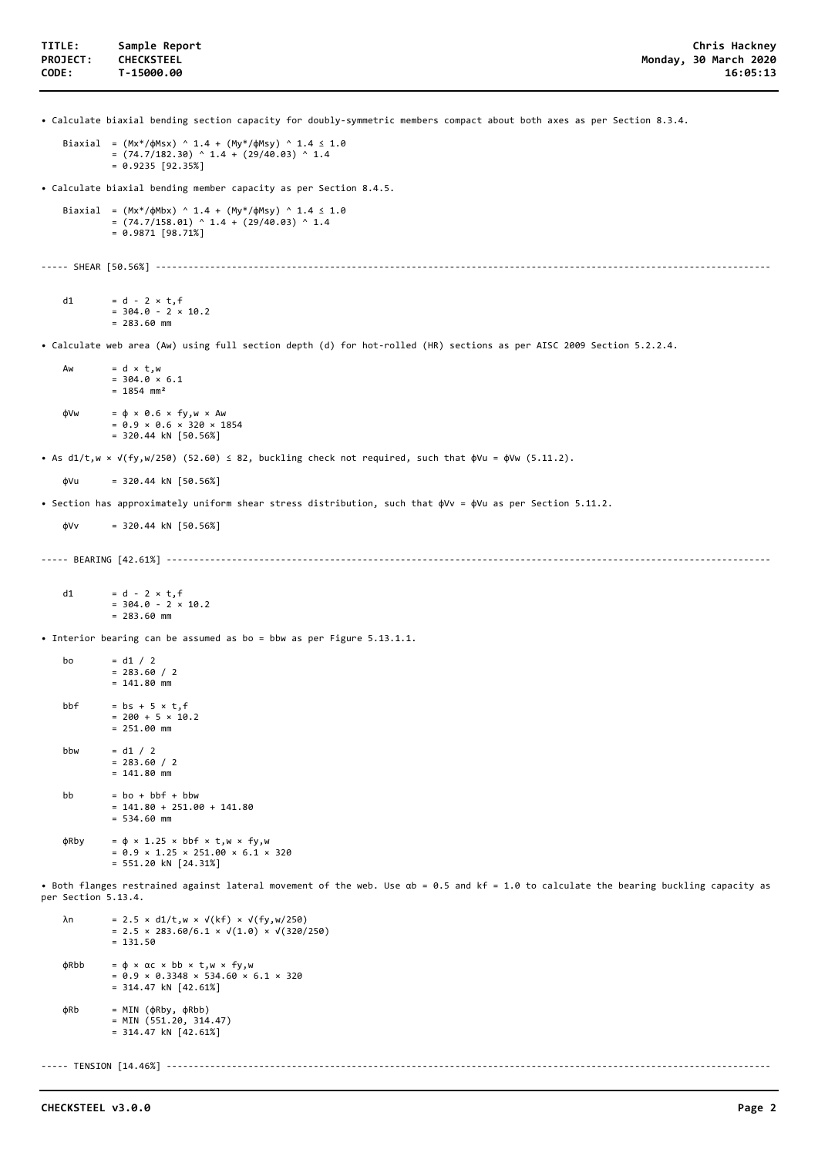• Calculate biaxial bending section capacity for doubly-symmetric members compact about both axes as per Section 8.3.4.

```
Biaxial = (Mx*/\phiMsx) ^ 1.4 + (My*/\phiMsy) ^ 1.4 ≤ 1.0
         =(74.7/182.30) ^ 1.4 + (29/40.03) ^ 1.4
         = 0.9235 [92.35%]
```
• Calculate biaxial bending member capacity as per Section 8.4.5.

```
Biaxial = (Mx*/\phi Mbx) ^ 1.4 + (My*/\phi Msy) ^ 1.4 ≤ 1.0
         = (74.7/158.01) ^ 1.4 + (29/40.03) ^ 1.4
         = 0.9871 [98.71%]
```
----- SHEAR [50.56%] -----------------------------------------------------------------------------------------------------------------

d1 =  $d - 2 \times t$ , f  $= 304.0 - 2 \times 10.2$  $= 283.60$  mm

• Calculate web area (Aw) using full section depth (d) for hot-rolled (HR) sections as per AISC 2009 Section 5.2.2.4.

Aw  $= d \times t, w$  $= 304.0 \times 6.1$  $= 1854$  mm<sup>2</sup>  $\phi$ Vw =  $\phi \times 0.6 \times fy, w \times Aw$ 

 $= 0.9 \times 0.6 \times 320 \times 1854$ = 320.44 kN [50.56%]

• As d1/t,w ×  $\sqrt{(f_y, w/250)}$  (52.60) ≤ 82, buckling check not required, such that  $\phi$ Vu =  $\phi$ Vw (5.11.2).

 $\phi$ Vu = 320.44 kN [50.56%]

• Section has approximately uniform shear stress distribution, such that φVv = φVu as per Section 5.11.2.

 $dVv = 320.44$  kN  $[50.56%]$ 

----- BEARING [42.61%] ---------------------------------------------------------------------------------------------------------------

d1 = d - 2  $\times$  t, f  $= 304.0 - 2 \times 10.2$  $= 283.60$  mm

• Interior bearing can be assumed as bo = bbw as per Figure 5.13.1.1.

```
bo = d1 / 2= 283.60 / 2= 141.80 mm
bbf = bs + 5 \times t, f
         = 200 + 5 \times 10.2 = 251.00 mm
bbw = d1 / 2= 283.60 / 2= 141.80 mm
bb = bo + bbf + bbw
         = 141.80 + 251.00 + 141.80= 534.60 mm
\phiRby = \phi \times 1.25 \times bbf \times t, w \times fy, w= 0.9 \times 1.25 \times 251.00 \times 6.1 \times 320 = 551.20 kN [24.31%]
```
• Both flanges restrained against lateral movement of the web. Use αb = 0.5 and kf = 1.0 to calculate the bearing buckling capacity as per Section 5.13.4.

```
 λn = 2.5 × d1/t,w × √(kf) × √(fy,w/250)
= 2.5 \times 283.60/6.1 \times \sqrt{(1.0)} \times \sqrt{(320/250)}= 131.50 φRbb = φ × αc × bb × t,w × fy,w
= 0.9 \times 0.3348 \times 534.60 \times 6.1 \times 320= 314.47 kN [42.61%] φRb = MIN (φRby, φRbb)
 = MIN (551.20, 314.47)
           = 314.47 kN [42.61%]
```
----- TENSION [14.46%] ----------------------------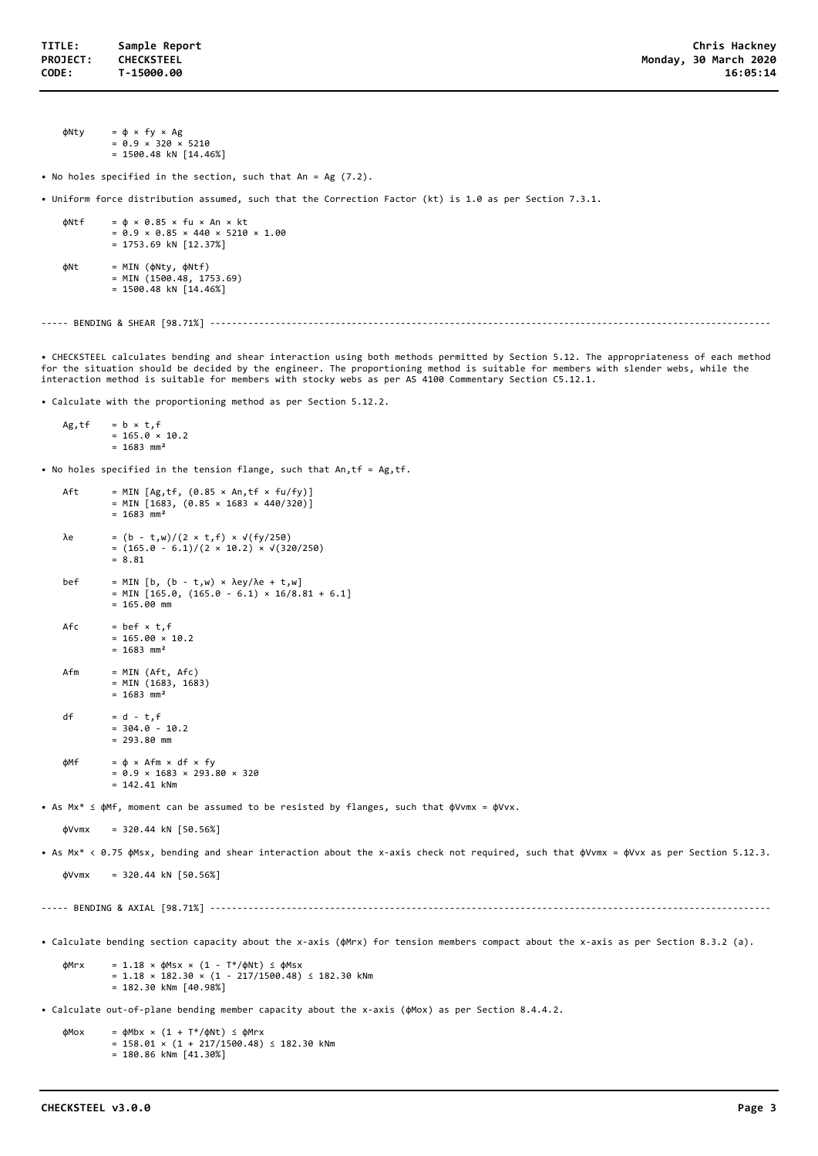φNty = φ × fy × Ag  $= 0.9 \times 320 \times 5210$ = 1500.48 kN [14.46%]

• No holes specified in the section, such that An = Ag (7.2).

• Uniform force distribution assumed, such that the Correction Factor (kt) is 1.0 as per Section 7.3.1.

```
\phiNtf = \phi \times 0.85 \times fu \times An \times kt
              = 0.9 \times 0.85 \times 440 \times 5210 \times 1.00 = 1753.69 kN [12.37%]
 φNt = MIN (φNty, φNtf)
 = MIN (1500.48, 1753.69)
```
 $= 1500.48$  kN  $[14.46%]$ 

----- BENDING & SHEAR [98.71%] -------------------------------------------------------------------------------------------------------

• CHECKSTEEL calculates bending and shear interaction using both methods permitted by Section 5.12. The appropriateness of each method for the situation should be decided by the engineer. The proportioning method is suitable for members with slender webs, while the interaction method is suitable for members with stocky webs as per AS 4100 Commentary Section C5.12.1.

• Calculate with the proportioning method as per Section 5.12.2.

```
Ag, tf = b \times t, f= 165.0 \times 10.2= 1683 mm<sup>2</sup>
```
• No holes specified in the tension flange, such that An,tf = Ag,tf.

```
Aft = MIN [Ag, tf, (0.85 \times An, tf \times fu/fy)]= MIN [1683, (0.85 × 1683 × 440/320)]
             = 1683 mm<sup>2</sup>
   λe = (b - t, w)/(2 × t, f) × √(fy/250)= (165.0 - 6.1)/(2 \times 10.2) \times \sqrt{(320/250)}= 8.81 bef = MIN [b, (b - t,w) × λey/λe + t,w]
= MIN [165.0, (165.0 - 6.1) × 16/8.81 + 6.1]
              = 165.00 mm
    Afc = \text{bef} \times \text{ t, f}= 165.00 \times 10.2= 1683 mm<sup>2</sup>
    Afm = MIN (Aft, Afc)
             = MIN (1683, 1683)
             = 1683 mm<sup>2</sup>
    df = d - t, f= 304.0 - 10.2= 293.80 mm
    \phiMf = \phi \times Afm \times df \times fy
              = 0.9 \times 1683 \times 293.80 \times 320= 142.41 kNm
• As Mx* ≤ φMf, moment can be assumed to be resisted by flanges, such that φVvmx = φVvx.
    dVvmx = 320.44 kN [50.56%]• As Mx* < 0.75 φMsx, bending and shear interaction about the x-axis check not required, such that φVvmx = φVvx as per Section 5.12.3.
    \phiVvmx = 320.44 kN [50.56%]
----- BENDING & AXIAL [98.71%] -------------------------------------------------------------------------------------------------------
• Calculate bending section capacity about the x-axis (φMrx) for tension members compact about the x-axis as per Section 8.3.2 (a).
    \phiMrx = 1.18 × \phiMsx × (1 - T*/\phiNt) ≤ \phiMsx
              = 1.18 \times 182.30 \times (1 - 217/1500.48) \le 182.30 kNm
              = 182.30 kNm [40.98%]• Calculate out-of-plane bending member capacity about the x-axis (φMox) as per Section 8.4.4.2.
    \phiMox = \phiMbx × (1 + T*/\phiNt) ≤ \phiMrx
              = 158.01 \times (1 + 217/1500.48) \le 182.30 kNm
               = 180.86 kNm [41.30%]
```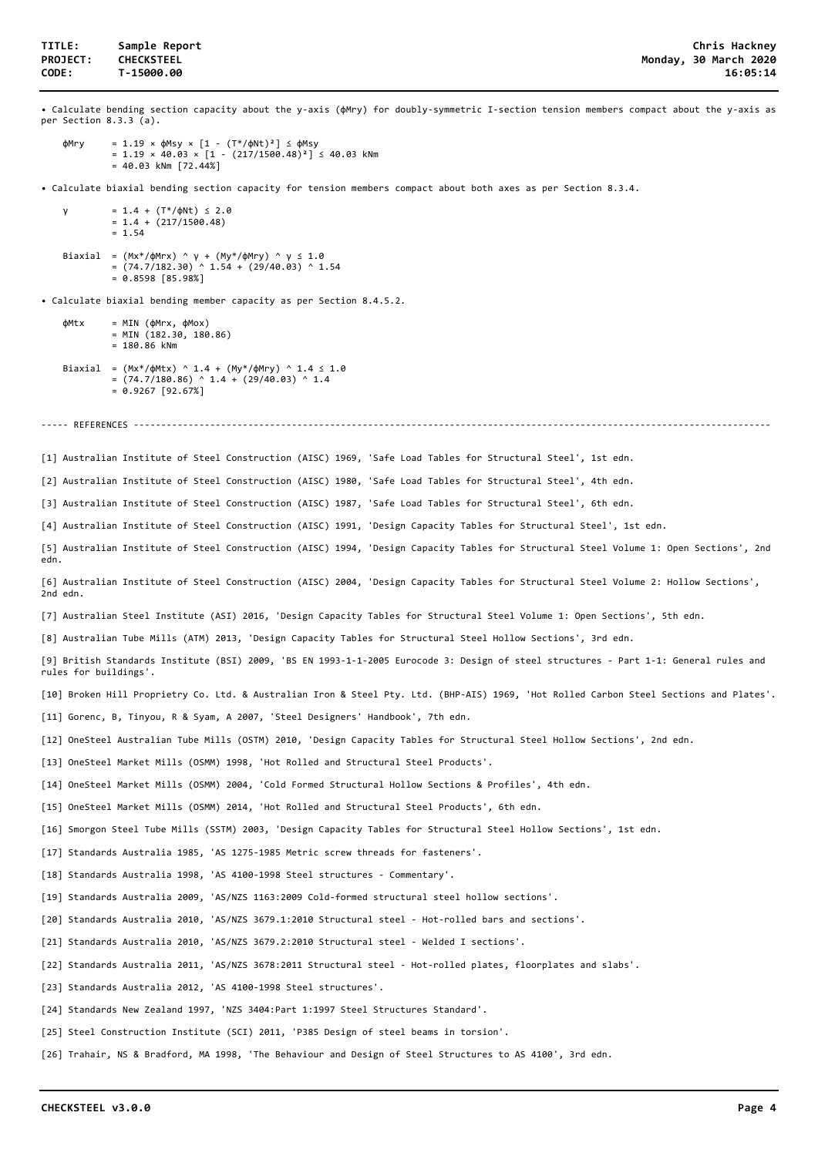• Calculate bending section capacity about the y-axis (φMry) for doubly-symmetric I-section tension members compact about the y-axis as per Section 8.3.3 (a). φMry = 1.19 × φMsy × [1 - (T\*/φNt)²] ≤ φMsy = 1.19 × 40.03 × [1 - (217/1500.48)²] ≤ 40.03 kNm  $= 40.03$  kNm  $[72.44%]$ • Calculate biaxial bending section capacity for tension members compact about both axes as per Section 8.3.4. = 1.4 + (T\*/φNt)  $\le$  2.0  $= 1.4 + (217/1500.48)$  $= 1.54$  Biaxial = (Mx\*/φMrx) ^ γ + (My\*/φMry) ^ γ ≤ 1.0 = (74.7/182.30) ^ 1.54 + (29/40.03) ^ 1.54  $= 0.8598 [85.98%]$ • Calculate biaxial bending member capacity as per Section 8.4.5.2.  $\phi$ Mtx = MIN ( $\phi$ Mrx,  $\phi$ Mox) = MIN (182.30, 180.86)  $= 180.86$  kNm Biaxial =  $(Mx*/\phi Mtx)$  ^ 1.4 +  $(My*/\phi Mry)$  ^ 1.4 ≤ 1.0  $= (74.7/180.86)$  ^ 1.4 + (29/40.03) ^ 1.4  $= 0.9267 [92.67%]$ ----- REFERENCES ---------------------------------[1] Australian Institute of Steel Construction (AISC) 1969, 'Safe Load Tables for Structural Steel', 1st edn. [2] Australian Institute of Steel Construction (AISC) 1980, 'Safe Load Tables for Structural Steel', 4th edn. [3] Australian Institute of Steel Construction (AISC) 1987, 'Safe Load Tables for Structural Steel', 6th edn. [4] Australian Institute of Steel Construction (AISC) 1991, 'Design Capacity Tables for Structural Steel', 1st edn. [5] Australian Institute of Steel Construction (AISC) 1994, 'Design Capacity Tables for Structural Steel Volume 1: Open Sections', 2nd edn. [6] Australian Institute of Steel Construction (AISC) 2004, 'Design Capacity Tables for Structural Steel Volume 2: Hollow Sections', 2nd edn. [7] Australian Steel Institute (ASI) 2016, 'Design Capacity Tables for Structural Steel Volume 1: Open Sections', 5th edn. [8] Australian Tube Mills (ATM) 2013, 'Design Capacity Tables for Structural Steel Hollow Sections', 3rd edn. [9] British Standards Institute (BSI) 2009, 'BS EN 1993-1-1-2005 Eurocode 3: Design of steel structures - Part 1-1: General rules and rules for buildings'. [10] Broken Hill Proprietry Co. Ltd. & Australian Iron & Steel Pty. Ltd. (BHP-AIS) 1969, 'Hot Rolled Carbon Steel Sections and Plates'. [11] Gorenc, B, Tinyou, R & Syam, A 2007, 'Steel Designers' Handbook', 7th edn. [12] OneSteel Australian Tube Mills (OSTM) 2010, 'Design Capacity Tables for Structural Steel Hollow Sections', 2nd edn. [13] OneSteel Market Mills (OSMM) 1998, 'Hot Rolled and Structural Steel Products'. [14] OneSteel Market Mills (OSMM) 2004, 'Cold Formed Structural Hollow Sections & Profiles', 4th edn. [15] OneSteel Market Mills (OSMM) 2014, 'Hot Rolled and Structural Steel Products', 6th edn. [16] Smorgon Steel Tube Mills (SSTM) 2003, 'Design Capacity Tables for Structural Steel Hollow Sections', 1st edn. [17] Standards Australia 1985, 'AS 1275-1985 Metric screw threads for fasteners'. [18] Standards Australia 1998, 'AS 4100-1998 Steel structures - Commentary'. [19] Standards Australia 2009, 'AS/NZS 1163:2009 Cold-formed structural steel hollow sections'. [20] Standards Australia 2010, 'AS/NZS 3679.1:2010 Structural steel - Hot-rolled bars and sections'. [21] Standards Australia 2010, 'AS/NZS 3679.2:2010 Structural steel - Welded I sections'. [22] Standards Australia 2011, 'AS/NZS 3678:2011 Structural steel - Hot-rolled plates, floorplates and slabs'. [23] Standards Australia 2012, 'AS 4100-1998 Steel structures'. [24] Standards New Zealand 1997, 'NZS 3404:Part 1:1997 Steel Structures Standard'. [25] Steel Construction Institute (SCI) 2011, 'P385 Design of steel beams in torsion'. [26] Trahair, NS & Bradford, MA 1998, 'The Behaviour and Design of Steel Structures to AS 4100', 3rd edn.